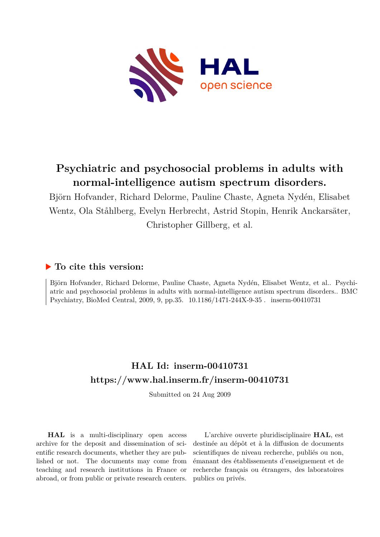

# **Psychiatric and psychosocial problems in adults with normal-intelligence autism spectrum disorders.**

Björn Hofvander, Richard Delorme, Pauline Chaste, Agneta Nydén, Elisabet Wentz, Ola Ståhlberg, Evelyn Herbrecht, Astrid Stopin, Henrik Anckarsäter, Christopher Gillberg, et al.

### **To cite this version:**

Björn Hofvander, Richard Delorme, Pauline Chaste, Agneta Nydén, Elisabet Wentz, et al.. Psychiatric and psychosocial problems in adults with normal-intelligence autism spectrum disorders.. BMC Psychiatry, BioMed Central, 2009, 9, pp.35.  $10.1186/1471-244X-9-35$ . inserm-00410731

# **HAL Id: inserm-00410731 <https://www.hal.inserm.fr/inserm-00410731>**

Submitted on 24 Aug 2009

**HAL** is a multi-disciplinary open access archive for the deposit and dissemination of scientific research documents, whether they are published or not. The documents may come from teaching and research institutions in France or abroad, or from public or private research centers.

L'archive ouverte pluridisciplinaire **HAL**, est destinée au dépôt et à la diffusion de documents scientifiques de niveau recherche, publiés ou non, émanant des établissements d'enseignement et de recherche français ou étrangers, des laboratoires publics ou privés.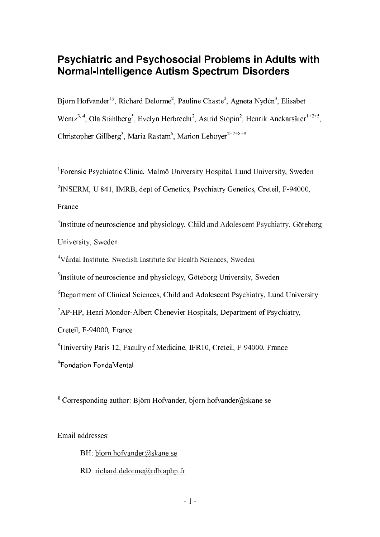# Psychiatric and Psychosocial Problems in Adults with Normal-Intelligence Autism Spectrum Disorders

Björn Hofvander<sup>1§</sup>, Richard Delorme<sup>2</sup>, Pauline Chaste<sup>2</sup>, Agneta Nydén<sup>3</sup>, Elisabet Wentz<sup>3, 4</sup>, Ola Ståhlberg<sup>5</sup>, Evelyn Herbrecht<sup>2</sup>, Astrid Stopin<sup>2</sup>, Henrik Anckarsäter<sup>1+2+5</sup>, Christopher Gillberg<sup>3</sup>, Maria Rastam<sup>6</sup>, Marion Leboyer $^{2+7+8+9}$ 

<sup>1</sup>Forensic Psychiatric Clinic, Malmö University Hospital, Lund University, Sweden

<sup>2</sup>INSERM, U 841, IMRB, dept of Genetics, Psychiatry Genetics, Creteil, F-94000,

France

<sup>3</sup>Institute of neuroscience and physiology, Child and Adolescent Psychiatry, Göteborg University, Sweden

<sup>4</sup>Vårdal Institute, Swedish Institute for Health Sciences, Sweden

<sup>5</sup>Institute of neuroscience and physiology, Göteborg University, Sweden

<sup>6</sup>Department of Clinical Sciences, Child and Adolescent Psychiatry, Lund University

<sup>7</sup>AP-HP, Henri Mondor-Albert Chenevier Hospitals, Department of Psychiatry,

Creteil, F-94000, France

<sup>8</sup>University Paris 12, Faculty of Medicine, IFR10, Creteil, F-94000, France

<sup>9</sup>Fondation FondaMental

§ Corresponding author: Björn Hofvander, bjorn.hofvander@skane.se

Email addresses:

BH: bjorn.hofvander@skane.se RD: richard.delorme@rdb.aphp.fr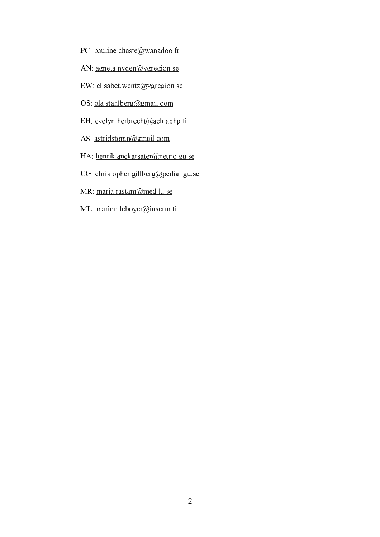- PC: pauline.chaste@wanadoo.fr
- AN: agneta.nyden@vgregion.se
- EW: elisabet.wentz@vgregion.se
- OS: ola.stahlberg@gmail.com
- EH: evelyn.herbrecht@ach.aphp.fr
- AS: astridstopin@gmail.com
- HA: henrik.anckarsater@neuro.gu.se
- CG: christopher.gillberg@pediat.gu.se
- MR: maria.rastam@med.lu.se
- ML: marion.leboyer@inserm.fr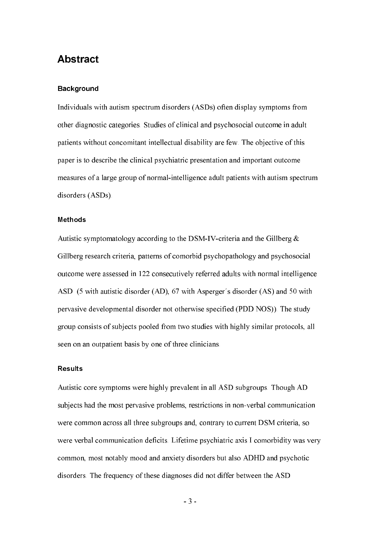## Abstract

#### Background

Individuals with autism spectrum disorders (ASDs) often display symptoms from other diagnostic categories. Studies of clinical and psychosocial outcome in adult patients without concomitant intellectual disability are few. The objective of this paper is to describe the clinical psychiatric presentation and important outcome measures of a large group of normal-intelligence adult patients with autism spectrum disorders (ASDs).

#### Methods

Autistic symptomatology according to the DSM-IV-criteria and the Gillberg & Gillberg research criteria, patterns of comorbid psychopathology and psychosocial outcome were assessed in 122 consecutively referred adults with normal intelligence ASD (5 with autistic disorder (AD), 67 with Asperger´s disorder (AS) and 50 with pervasive developmental disorder not otherwise specified (PDD NOS)). The study group consists of subjects pooled from two studies with highly similar protocols, all seen on an outpatient basis by one of three clinicians.

#### **Results**

Autistic core symptoms were highly prevalent in all ASD subgroups. Though AD subjects had the most pervasive problems, restrictions in non-verbal communication were common across all three subgroups and, contrary to current DSM criteria, so were verbal communication deficits. Lifetime psychiatric axis I comorbidity was very common, most notably mood and anxiety disorders but also ADHD and psychotic disorders. The frequency of these diagnoses did not differ between the ASD

**-** And the state of the state of the state of the state of the state of the state of the state of the state of the state of the state of the state of the state of the state of the state of the state of the state of the st  $3 -$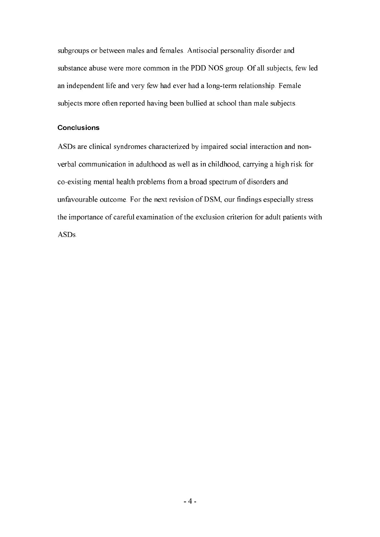subgroups or between males and females. Antisocial personality disorder and substance abuse were more common in the PDD NOS group. Of all subjects, few led an independent life and very few had ever had a long-term relationship. Female subjects more often reported having been bullied at school than male subjects.

#### **Conclusions**

ASDs are clinical syndromes characterized by impaired social interaction and non verbal communication in adulthood as well as in childhood, carrying a high risk for co-existing mental health problems from a broad spectrum of disorders and unfavourable outcome. For the next revision of DSM, our findings especially stress the importance of careful examination of the exclusion criterion for adult patients with ASDs.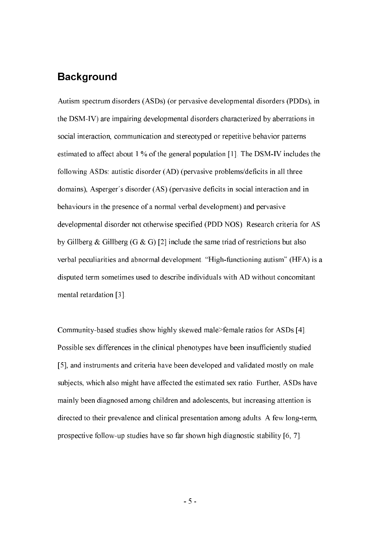## **Background**

Autism spectrum disorders (ASDs) (or pervasive developmental disorders (PDDs), in the DSM-IV) are impairing developmental disorders characterized by aberrations in social interaction, communication and stereotyped or repetitive behavior patterns estimated to affect about 1 % of the general population [1]. The DSM-IV includes the following ASDs: autistic disorder (AD) (pervasive problems/deficits in all three domains), Asperger´s disorder (AS) (pervasive deficits in social interaction and in behaviours in the presence of a normal verbal development) and pervasive developmental disorder not otherwise specified (PDD NOS). Research criteria for AS by Gillberg & Gillberg (G & G) [2] include the same triad of restrictions but also verbal peculiarities and abnormal development. "High-functioning autism" (HFA) is a disputed term sometimes used to describe individuals with AD without concomitant mental retardation [3].

Community-based studies show highly skewed male>female ratios for ASDs [4]. Possible sex differences in the clinical phenotypes have been insufficiently studied [5], and instruments and criteria have been developed and validated mostly on male subjects, which also might have affected the estimated sex ratio. Further, ASDs have mainly been diagnosed among children and adolescents, but increasing attention is directed to their prevalence and clinical presentation among adults. A few long-term, prospective follow-up studies have so far shown high diagnostic stability [6, 7].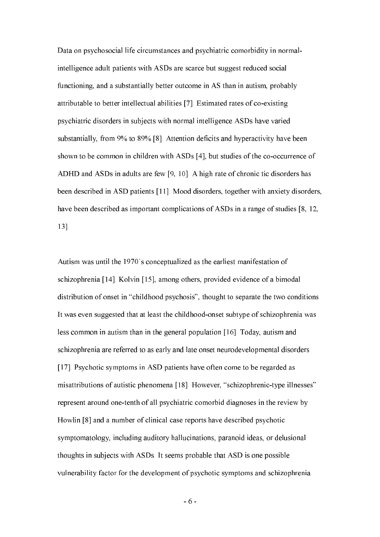Data on psychosocial life circumstances and psychiatric comorbidity in normal intelligence adult patients with ASDs are scarce but suggest reduced social functioning, and a substantially better outcome in AS than in autism, probably attributable to better intellectual abilities [7]. Estimated rates of co-existing psychiatric disorders in subjects with normal intelligence ASDs have varied substantially, from 9% to 89% [8]. Attention deficits and hyperactivity have been shown to be common in children with ASDs [4], but studies of the co-occurrence of ADHD and ASDs in adults are few [9, 10]. A high rate of chronic tic disorders has been described in ASD patients [11]. Mood disorders, together with anxiety disorders, have been described as important complications of ASDs in a range of studies [8, 12, 13].

Autism was until the 1970´s conceptualized as the earliest manifestation of schizophrenia [14]. Kolvin [15], among others, provided evidence of a bimodal distribution of onset in "childhood psychosis", thought to separate the two conditions. It was even suggested that at least the childhood-onset subtype of schizophrenia was less common in autism than in the general population [16]. Today, autism and schizophrenia are referred to as early and late onset neurodevelopmental disorders [17]. Psychotic symptoms in ASD patients have often come to be regarded as misattributions of autistic phenomena [18]. However, "schizophrenic-type illnesses" represent around one-tenth of all psychiatric comorbid diagnoses in the review by Howlin [8] and a number of clinical case reports have described psychotic symptomatology, including auditory hallucinations, paranoid ideas, or delusional thoughts in subjects with ASDs. It seems probable that ASD is one possible vulnerability factor for the development of psychotic symptoms and schizophrenia

**-** And the state of the state of the state of the state of the state of the state of the state of the state of the state of the state of the state of the state of the state of the state of the state of the state of the st  $6 -$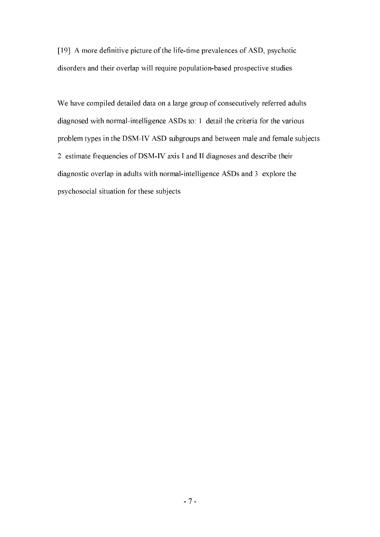[19]. A more definitive picture of the life-time prevalences of ASD, psychotic disorders and their overlap will require population-based prospective studies.

We have compiled detailed data on a large group of consecutively referred adults diagnosed with normal-intelligence ASDs to: 1. detail the criteria for the various problem types in the DSM-IV ASD subgroups and between male and female subjects. 2. estimate frequencies of DSM-IV axis I and II diagnoses and describe their diagnostic overlap in adults with normal-intelligence ASDs and 3. explore the psychosocial situation for these subjects.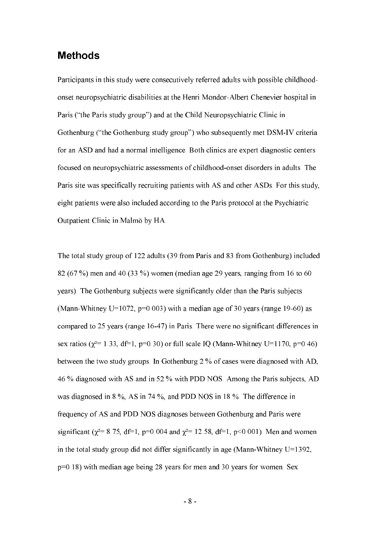### Methods

Participants in this study were consecutively referred adults with possible childhood onset neuropsychiatric disabilities at the Henri Mondor-Albert Chenevier hospital in Paris ("the Paris study group") and at the Child Neuropsychiatric Clinic in Gothenburg ("the Gothenburg study group") who subsequently met DSM-IV criteria for an ASD and had a normal intelligence. Both clinics are expert diagnostic centers focused on neuropsychiatric assessments of childhood-onset disorders in adults. The Paris site was specifically recruiting patients with AS and other ASDs. For this study, eight patients were also included according to the Paris protocol at the Psychiatric Outpatient Clinic in Malmö by HA.

The total study group of 122 adults (39 from Paris and 83 from Gothenburg) included 82 (67 %) men and 40 (33 %) women (median age 29 years, ranging from 16 to 60 years). The Gothenburg subjects were significantly older than the Paris subjects (Mann-Whitney U=1072,  $p=0.003$ ) with a median age of 30 years (range 19-60) as compared to 25 years (range 16-47) in Paris. There were no significant differences in sex ratios ( $\chi^2$ = 1.33, df=1, p=0.30) or full scale IQ (Mann-Whitney U=1170, p=0.46) between the two study groups. In Gothenburg 2 % of cases were diagnosed with AD, 46 % diagnosed with AS and in 52 % with PDD NOS. Among the Paris subjects, AD was diagnosed in 8 %, AS in 74 %, and PDD NOS in 18 %. The difference in frequency of AS and PDD NOS diagnoses between Gothenburg and Paris were significant ( $\chi^2$ = 8.75, df=1, p=0.004 and  $\chi^2$ = 12.58, df=1, p<0.001). Men and women in the total study group did not differ significantly in age (Mann-Whitney U=1392, p=0.18) with median age being 28 years for men and 30 years for women. Sex

**-** And the state of the state of the state of the state of the state of the state of the state of the state of the state of the state of the state of the state of the state of the state of the state of the state of the st 8 -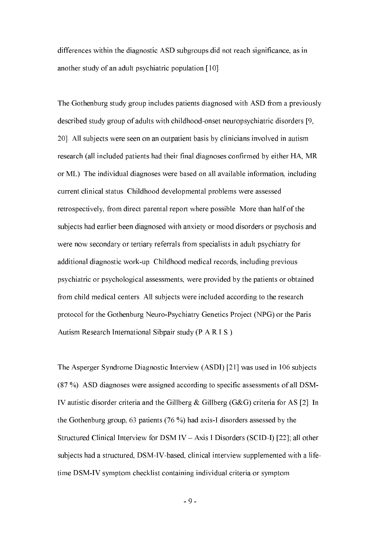differences within the diagnostic ASD subgroups did not reach significance, as in another study of an adult psychiatric population [10].

The Gothenburg study group includes patients diagnosed with ASD from a previously described study group of adults with childhood-onset neuropsychiatric disorders [9, 20]. All subjects were seen on an outpatient basis by clinicians involved in autism research (all included patients had their final diagnoses confirmed by either HA, MR or ML). The individual diagnoses were based on all available information, including current clinical status. Childhood developmental problems were assessed retrospectively, from direct parental report where possible. More than half of the subjects had earlier been diagnosed with anxiety or mood disorders or psychosis and were now secondary or tertiary referrals from specialists in adult psychiatry for additional diagnostic work-up. Childhood medical records, including previous psychiatric or psychological assessments, were provided by the patients or obtained from child medical centers. All subjects were included according to the research protocol for the Gothenburg Neuro-Psychiatry Genetics Project (NPG) or the Paris Autism Research International Sibpair study (P.A.R.I.S.).

The Asperger Syndrome Diagnostic Interview (ASDI) [21] was used in 106 subjects (87 %). ASD diagnoses were assigned according to specific assessments of all DSM- IV autistic disorder criteria and the Gillberg & Gillberg (G&G) criteria for AS [2]. In the Gothenburg group, 63 patients (76 %) had axis-I disorders assessed by the Structured Clinical Interview for DSM IV – Axis I Disorders (SCID-I) [22]; all other subjects had a structured, DSM-IV-based, clinical interview supplemented with a lifetime DSM-IV symptom checklist containing individual criteria or symptom

**-** And the state of the state of the state of the state of the state of the state of the state of the state of the state of the state of the state of the state of the state of the state of the state of the state of the st 9 -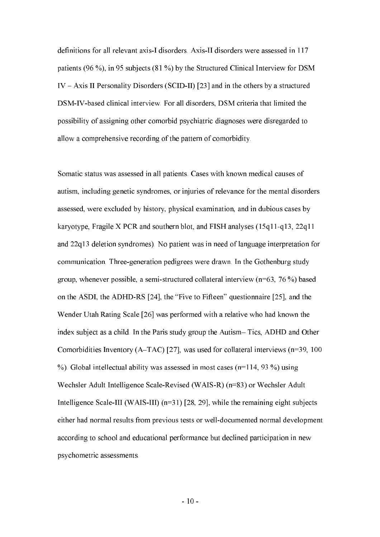definitions for all relevant axis-I disorders. Axis-II disorders were assessed in 117 patients (96 %), in 95 subjects (81 %) by the Structured Clinical Interview for DSM IV – Axis II Personality Disorders (SCID-II) [23] and in the others by a structured DSM-IV-based clinical interview. For all disorders, DSM criteria that limited the possibility of assigning other comorbid psychiatric diagnoses were disregarded to allow a comprehensive recording of the pattern of comorbidity.

Somatic status was assessed in all patients. Cases with known medical causes of autism, including genetic syndromes, or injuries of relevance for the mental disorders assessed, were excluded by history, physical examination, and in dubious cases by karyotype, Fragile X PCR and southern blot, and FISH analyses (15q11-q13, 22q11 and 22q13 deletion syndromes). No patient was in need of language interpretation for communication. Three-generation pedigrees were drawn. In the Gothenburg study group, whenever possible, a semi-structured collateral interview (n=63, 76 %) based on the ASDI, the ADHD-RS [24], the "Five to Fifteen" questionnaire [25], and the Wender Utah Rating Scale [26] was performed with a relative who had known the index subject as a child. In the Paris study group the Autism– Tics, ADHD and Other Comorbidities Inventory (A–TAC) [27], was used for collateral interviews (n=39, 100 %). Global intellectual ability was assessed in most cases  $(n=114, 93\%)$  using Wechsler Adult Intelligence Scale-Revised (WAIS-R) (n=83) or Wechsler Adult Intelligence Scale-III (WAIS-III) (n=31) [28, 29], while the remaining eight subjects either had normal results from previous tests or well-documented normal development according to school and educational performance but declined participation in new psychometric assessments.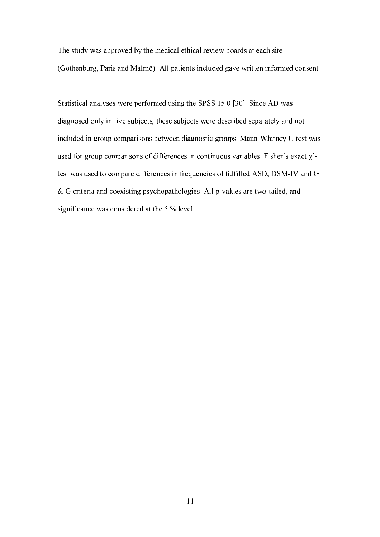The study was approved by the medical ethical review boards at each site (Gothenburg, Paris and Malmö). All patients included gave written informed consent.

Statistical analyses were performed using the SPSS 15.0 [30]. Since AD was diagnosed only in five subjects, these subjects were described separately and not included in group comparisons between diagnostic groups. Mann-Whitney U test was used for group comparisons of differences in continuous variables. Fisher's exact  $\chi^2$ test was used to compare differences in frequencies of fulfilled ASD, DSM-IV and G & G criteria and coexisting psychopathologies. All p-values are two-tailed, and significance was considered at the 5 % level.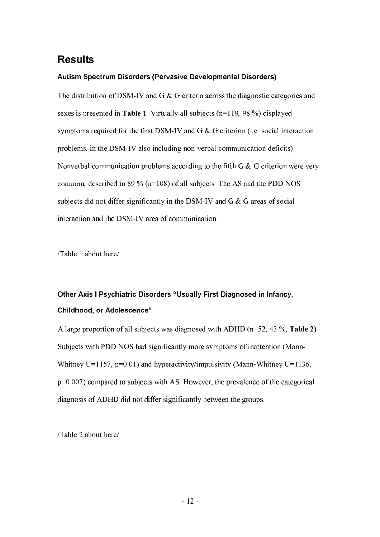## Results

#### Autism Spectrum Disorders (Pervasive Developmental Disorders)

The distribution of DSM-IV and G & G criteria across the diagnostic categories and sexes is presented in **Table 1**. Virtually all subjects  $(n=119, 98\%)$  displayed symptoms required for the first DSM-IV and G & G criterion (i.e. social interaction problems, in the DSM-IV also including non-verbal communication deficits). Nonverbal communication problems according to the fifth G & G criterion were very common, described in 89 % ( $n=108$ ) of all subjects. The AS and the PDD NOS subjects did not differ significantly in the DSM-IV and G & G areas of social interaction and the DSM-IV area of communication.

/Table 1 about here/

# Other Axis I Psychiatric Disorders "Usually First Diagnosed in Infancy, Childhood, or Adolescence"

A large proportion of all subjects was diagnosed with ADHD ( $n=52$ , 43 %, Table 2). Subjects with PDD NOS had significantly more symptoms of inattention (Mann- Whitney U=1157, p=0.01) and hyperactivity/impulsivity (Mann-Whitney U=1136, p=0.007) compared to subjects with AS. However, the prevalence of the categorical diagnosis of ADHD did not differ significantly between the groups.

/Table 2 about here/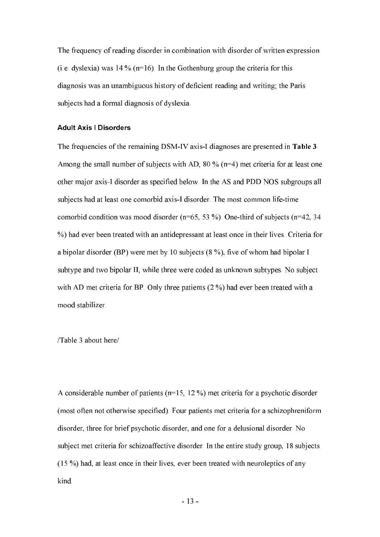The frequency of reading disorder in combination with disorder of written expression (i.e. dyslexia) was  $14\%$  (n=16). In the Gothenburg group the criteria for this diagnosis was an unambiguous history of deficient reading and writing; the Paris subjects had a formal diagnosis of dyslexia.

#### Adult Axis I Disorders

The frequencies of the remaining DSM-IV axis-I diagnoses are presented in Table 3. Among the small number of subjects with AD, 80 % (n=4) met criteria for at least one other major axis-I disorder as specified below. In the AS and PDD NOS subgroups all subjects had at least one comorbid axis-I disorder. The most common life-time comorbid condition was mood disorder (n=65, 53 %). One-third of subjects (n=42, 34 %) had ever been treated with an antidepressant at least once in their lives. Criteria for a bipolar disorder (BP) were met by 10 subjects (8 %), five of whom had bipolar I subtype and two bipolar II, while three were coded as unknown subtypes. No subject with AD met criteria for BP. Only three patients (2 %) had ever been treated with a mood stabilizer.

/Table 3 about here/

A considerable number of patients (n=15, 12 %) met criteria for a psychotic disorder (most often not otherwise specified). Four patients met criteria for a schizophreniform disorder, three for brief psychotic disorder, and one for a delusional disorder. No subject met criteria for schizoaffective disorder. In the entire study group, 18 subjects (15 %) had, at least once in their lives, ever been treated with neuroleptics of any kind.

**-** The contract of the contract of the contract of the contract of the contract of the contract of the contract of the contract of the contract of the contract of the contract of the contract of the contract of the contra 13 -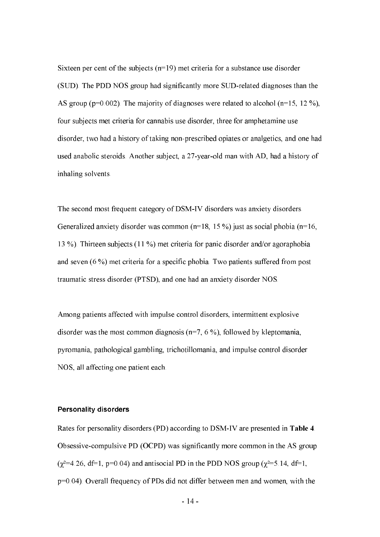Sixteen per cent of the subjects  $(n=19)$  met criteria for a substance use disorder (SUD). The PDD NOS group had significantly more SUD-related diagnoses than the AS group ( $p=0.002$ ). The majority of diagnoses were related to alcohol ( $n=15$ , 12 %), four subjects met criteria for cannabis use disorder, three for amphetamine use disorder, two had a history of taking non-prescribed opiates or analgetics, and one had used anabolic steroids. Another subject, a 27-year-old man with AD, had a history of inhaling solvents.

The second most frequent category of DSM-IV disorders was anxiety disorders. Generalized anxiety disorder was common ( $n=18$ , 15 %) just as social phobia ( $n=16$ , 13 %). Thirteen subjects (11 %) met criteria for panic disorder and/or agoraphobia and seven (6 %) met criteria for a specific phobia. Two patients suffered from post traumatic stress disorder (PTSD), and one had an anxiety disorder NOS.

Among patients affected with impulse control disorders, intermittent explosive disorder was the most common diagnosis ( $n=7, 6\%$ ), followed by kleptomania, pyromania, pathological gambling, trichotillomania, and impulse control disorder NOS, all affecting one patient each.

#### Personality disorders

Rates for personality disorders (PD) according to DSM-IV are presented in Table 4. Obsessive-compulsive PD (OCPD) was significantly more common in the AS group  $(\chi^2=4.26, df=1, p=0.04)$  and antisocial PD in the PDD NOS group  $(\chi^2=5.14, df=1,$ p=0.04). Overall frequency of PDs did not differ between men and women, with the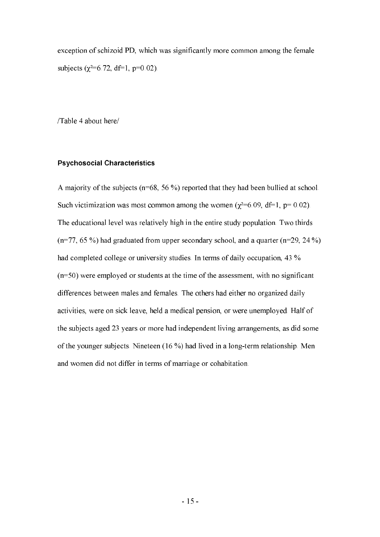exception of schizoid PD, which was significantly more common among the female subjects ( $\chi^2$ =6.72, df=1, p=0.02).

/Table 4 about here/

#### Psychosocial Characteristics

A majority of the subjects (n=68, 56 %) reported that they had been bullied at school. Such victimization was most common among the women ( $\chi^2=6.09$ , df=1, p= 0.02). The educational level was relatively high in the entire study population. Two thirds  $(n=77, 65\%)$  had graduated from upper secondary school, and a quarter  $(n=29, 24\%)$ had completed college or university studies. In terms of daily occupation, 43 % (n=50) were employed or students at the time of the assessment, with no significant differences between males and females. The others had either no organized daily activities, were on sick leave, held a medical pension, or were unemployed. Half of the subjects aged 23 years or more had independent living arrangements, as did some of the younger subjects. Nineteen (16 %) had lived in a long-term relationship. Men and women did not differ in terms of marriage or cohabitation.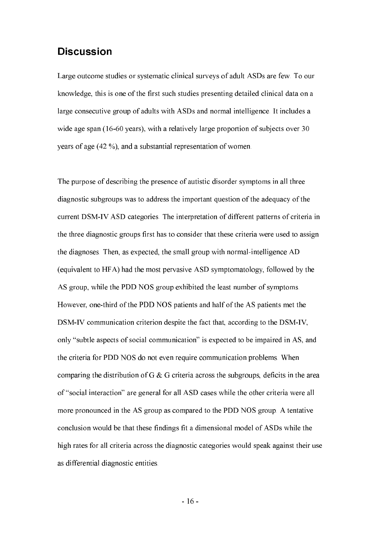### Discussion

Large outcome studies or systematic clinical surveys of adult ASDs are few. To our knowledge, this is one of the first such studies presenting detailed clinical data on a large consecutive group of adults with ASDs and normal intelligence. It includes a wide age span (16-60 years), with a relatively large proportion of subjects over 30 years of age (42 %), and a substantial representation of women.

The purpose of describing the presence of autistic disorder symptoms in all three diagnostic subgroups was to address the important question of the adequacy of the current DSM-IV ASD categories. The interpretation of different patterns of criteria in the three diagnostic groups first has to consider that these criteria were used to assign the diagnoses. Then, as expected, the small group with normal-intelligence AD (equivalent to HFA) had the most pervasive ASD symptomatology, followed by the AS group, while the PDD NOS group exhibited the least number of symptoms. However, one-third of the PDD NOS patients and half of the AS patients met the DSM-IV communication criterion despite the fact that, according to the DSM-IV, only "subtle aspects of social communication" is expected to be impaired in AS, and the criteria for PDD NOS do not even require communication problems. When comparing the distribution of G & G criteria across the subgroups, deficits in the area of "social interaction" are general for all ASD cases while the other criteria were all more pronounced in the AS group as compared to the PDD NOS group. A tentative conclusion would be that these findings fit a dimensional model of ASDs while the high rates for all criteria across the diagnostic categories would speak against their use as differential diagnostic entities.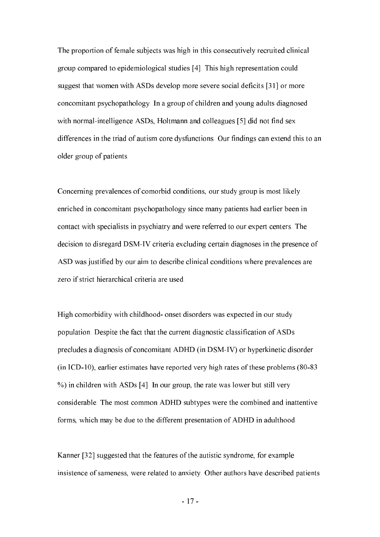The proportion of female subjects was high in this consecutively recruited clinical group compared to epidemiological studies [4]. This high representation could suggest that women with ASDs develop more severe social deficits [31] or more concomitant psychopathology. In a group of children and young adults diagnosed with normal-intelligence ASDs, Holtmann and colleagues [5] did not find sex differences in the triad of autism core dysfunctions. Our findings can extend this to an older group of patients.

Concerning prevalences of comorbid conditions, our study group is most likely enriched in concomitant psychopathology since many patients had earlier been in contact with specialists in psychiatry and were referred to our expert centers. The decision to disregard DSM-IV criteria excluding certain diagnoses in the presence of ASD was justified by our aim to describe clinical conditions where prevalences are zero if strict hierarchical criteria are used.

High comorbidity with childhood- onset disorders was expected in our study population. Despite the fact that the current diagnostic classification of ASDs precludes a diagnosis of concomitant ADHD (in DSM-IV) or hyperkinetic disorder (in ICD-10), earlier estimates have reported very high rates of these problems (80-83 %) in children with ASDs [4]. In our group, the rate was lower but still very considerable. The most common ADHD subtypes were the combined and inattentive forms, which may be due to the different presentation of ADHD in adulthood.

Kanner [32] suggested that the features of the autistic syndrome, for example insistence of sameness, were related to anxiety. Other authors have described patients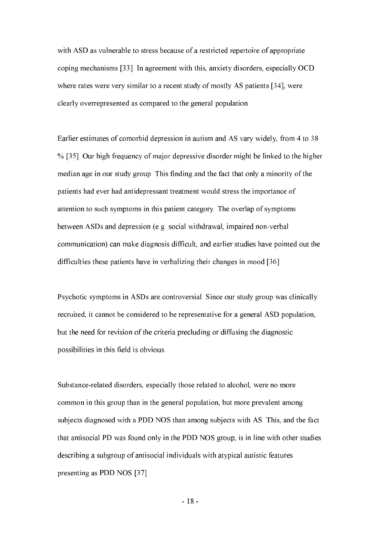with ASD as vulnerable to stress because of a restricted repertoire of appropriate coping mechanisms [33]. In agreement with this, anxiety disorders, especially OCD where rates were very similar to a recent study of mostly AS patients [34], were clearly overrepresented as compared to the general population.

Earlier estimates of comorbid depression in autism and AS vary widely, from 4 to 38 % [35]. Our high frequency of major depressive disorder might be linked to the higher median age in our study group. This finding and the fact that only a minority of the patients had ever had antidepressant treatment would stress the importance of attention to such symptoms in this patient category. The overlap of symptoms between ASDs and depression (e.g. social withdrawal, impaired non-verbal communication) can make diagnosis difficult, and earlier studies have pointed out the difficulties these patients have in verbalizing their changes in mood [36].

Psychotic symptoms in ASDs are controversial. Since our study group was clinically recruited, it cannot be considered to be representative for a general ASD population, but the need for revision of the criteria precluding or diffusing the diagnostic possibilities in this field is obvious.

Substance-related disorders, especially those related to alcohol, were no more common in this group than in the general population, but more prevalent among subjects diagnosed with a PDD NOS than among subjects with AS. This, and the fact that antisocial PD was found only in the PDD NOS group, is in line with other studies describing a subgroup of antisocial individuals with atypical autistic features presenting as PDD NOS [37]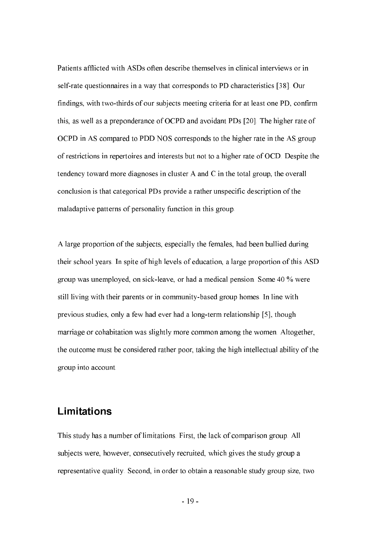Patients afflicted with ASDs often describe themselves in clinical interviews or in self-rate questionnaires in a way that corresponds to PD characteristics [38]. Our findings, with two-thirds of our subjects meeting criteria for at least one PD, confirm this, as well as a preponderance of OCPD and avoidant PDs [20]. The higher rate of OCPD in AS compared to PDD NOS corresponds to the higher rate in the AS group of restrictions in repertoires and interests but not to a higher rate of OCD. Despite the tendency toward more diagnoses in cluster A and C in the total group, the overall conclusion is that categorical PDs provide a rather unspecific description of the maladaptive patterns of personality function in this group.

A large proportion of the subjects, especially the females, had been bullied during their school years. In spite of high levels of education, a large proportion of this ASD group was unemployed, on sick-leave, or had a medical pension. Some 40 % were still living with their parents or in community-based group homes. In line with previous studies, only a few had ever had a long-term relationship [5], though marriage or cohabitation was slightly more common among the women. Altogether, the outcome must be considered rather poor, taking the high intellectual ability of the group into account.

#### Limitations

This study has a number of limitations. First, the lack of comparison group. All subjects were, however, consecutively recruited, which gives the study group a representative quality. Second, in order to obtain a reasonable study group size, two

**-** And the state of the state of the state of the state of the state of the state of the state of the state of the state of the state of the state of the state of the state of the state of the state of the state of the st 19 -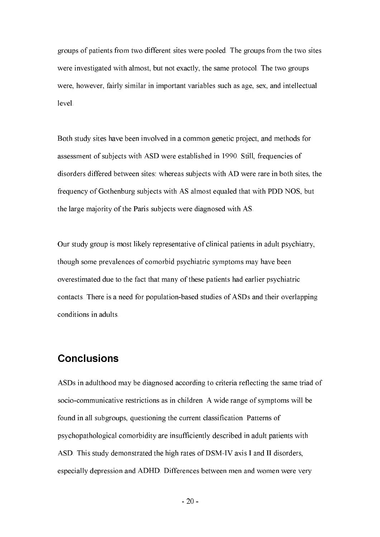groups of patients from two different sites were pooled. The groups from the two sites were investigated with almost, but not exactly, the same protocol. The two groups were, however, fairly similar in important variables such as age, sex, and intellectual level.

Both study sites have been involved in a common genetic project, and methods for assessment of subjects with ASD were established in 1990. Still, frequencies of disorders differed between sites: whereas subjects with AD were rare in both sites, the frequency of Gothenburg subjects with AS almost equaled that with PDD NOS, but the large majority of the Paris subjects were diagnosed with AS.

Our study group is most likely representative of clinical patients in adult psychiatry, though some prevalences of comorbid psychiatric symptoms may have been overestimated due to the fact that many of these patients had earlier psychiatric contacts. There is a need for population-based studies of ASDs and their overlapping conditions in adults.

## Conclusions

ASDs in adulthood may be diagnosed according to criteria reflecting the same triad of socio-communicative restrictions as in children. A wide range of symptoms will be found in all subgroups, questioning the current classification. Patterns of psychopathological comorbidity are insufficiently described in adult patients with ASD. This study demonstrated the high rates of DSM-IV axis I and II disorders, especially depression and ADHD. Differences between men and women were very

**-** And the state of the state of the state of the state of the state of the state of the state of the state of the state of the state of the state of the state of the state of the state of the state of the state of the st  $-20-$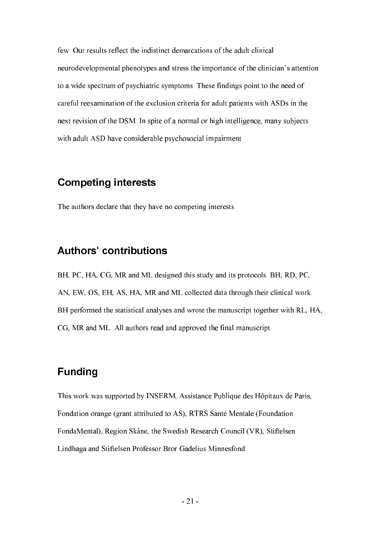few. Our results reflect the indistinct demarcations of the adult clinical neurodevelopmental phenotypes and stress the importance of the clinician's attention to a wide spectrum of psychiatric symptoms. These findings point to the need of careful reexamination of the exclusion criteria for adult patients with ASDs in the next revision of the DSM. In spite of a normal or high intelligence, many subjects with adult ASD have considerable psychosocial impairment.

## **Competing interests**

The authors declare that they have no competing interests.

### Authors' contributions

BH, PC, HA, CG, MR and ML designed this study and its protocols. BH, RD, PC, AN, EW, OS, EH, AS, HA, MR and ML collected data through their clinical work. BH performed the statistical analyses and wrote the manuscript together with RL, HA, CG, MR and ML. All authors read and approved the final manuscript.

# Funding

.

This work was supported by INSERM, Assistance Publique des Hôpitaux de Paris, Fondation orange (grant attributed to AS), RTRS Santé Mentale (Foundation FondaMental), Region Skåne, the Swedish Research Council (VR), Stiftelsen Lindhaga and Stiftelsen Professor Bror Gadelius Minnesfond.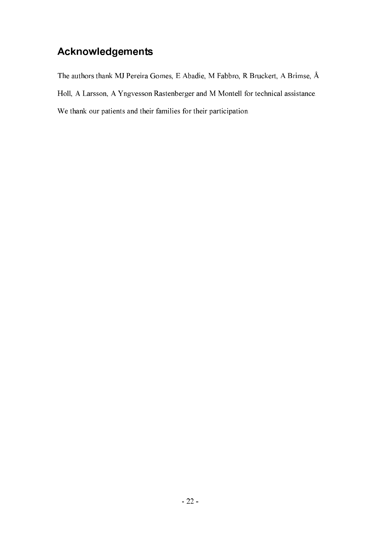# **Acknowledgements**

The authors thank MJ Pereira Gomes, E Abadie, M Fabbro, R Bruckert, A Brimse, Å Holl, A Larsson, A Yngvesson Rastenberger and M Montell for technical assistance. We thank our patients and their families for their participation.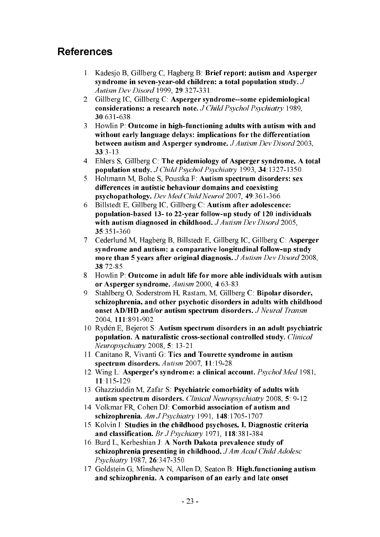# References

- 1. Kadesjo B, Gillberg C, Hagberg B: Brief report: autism and Asperger syndrome in seven-year-old children: a total population study.  $J$ Autism Dev Disord 1999, **29**:327-331.
- 2. Gillberg IC, Gillberg C: Asperger syndrome--some epidemiological considerations: a research note. J Child Psychol Psychiatry 1989, 30 631 638
- 3. Howlin P: Outcome in high-functioning adults with autism with and without early language delays: implications for the differentiation between autism and Asperger syndrome. J Autism Dev Disord 2003,  $33.3 - 13.$
- 4. Ehlers S, Gillberg C: The epidemiology of Asperger syndrome. A total population study. J Child Psychol Psychiatry 1993, 34:1327-1350.
- 5. Holtmann M. Bolte S. Poustka F: Autism spectrum disorders: sex differences in autistic behaviour domains and coexisting psychopathology. Dev Med Child Neurol 2007, 49:361-366.
- 6. Billstedt E, Gillberg IC, Gillberg C: Autism after adolescence: population-based 13- to 22-year follow-up study of 120 individuals with autism diagnosed in childhood. J Autism Dev Disord 2005, &:351-360.
- 7. Cederlund M, Hagberg B, Billstedt E, Gillberg IC, Gillberg C: Asperger syndrome and autism: a comparative longitudinal follow-up study more than 5 years after original diagnosis. J Autism Dev Disord 2008, 38.72-85.
- 8. Howlin P: Outcome in adult life for more able individuals with autism or Asperger syndrome. Autism 2000, 4:63-83.
- 9. Stahlberg O, Soderstrom H, Rastam, M, Gillberg C: Bipolar disorder, schizophrenia, and other psychotic disorders in adults with childhood onset AD/HD and/or autism spectrum disorders. *J Neural Transm* 2004, 111:891-902.
- 10. Rydén E, Bejerot S: Autism spectrum disorders in an adult psychiatric population. A naturalistic cross-sectional controlled study. Clinical Neuropsychiatry 2008, 5: 13-21.
- 11. Canitano R, Vivanti G: Tics and Tourette syndrome in autism spectrum disorders. Autism 2007, 11:19-28.
- 12. Wing L: Asperger's syndrome: a clinical account. Psychol Med 1981, :115-129.
- 13. Ghazziuddin M, Zafar S: Psychiatric comorbidity of adults with autism spectrum disorders. Clinical Neuropsychiatry 2008, 5: 9-12.
- 14. Volkmar FR, Cohen DJ: Comorbid association of autism and schizophrenia. Am J Psychiatry 1991, 148:1705-1707.
- 15. Kolvin I: Studies in the childhood psychoses. I. Diagnostic criteria and classification. Br J Psychiatry 1971, 118:381-384.
- 16. Burd L, Kerbeshian J: A North Dakota prevalence study of schizophrenia presenting in childhood. J Am Acad Child Adolesc Psychiatry 1987, 26:347-350.
- 17. Goldstein G, Minshew N, Allen D, Seaton B: High.functioning autism and schizophrenia. A comparison of an early and late onset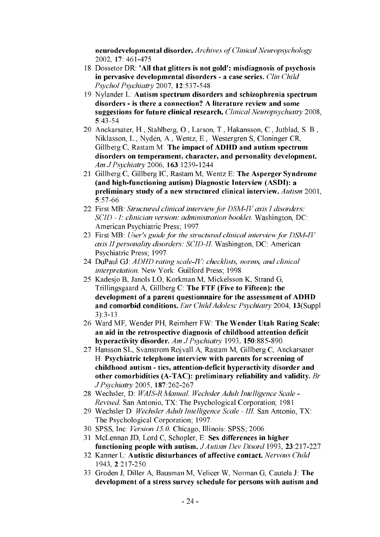neurodevelopmental disorder. Archives of Clinical Neuropsychology 2002, 17: 461-475.

- 18. Dossetor DR: 'All that glitters is not gold': misdiagnosis of psychosis in pervasive developmental disorders - a case series. Clin Child Psychol Psychiatry 2007, 12:537-548.
- 19. Nylander L: Autism spectrum disorders and schizophrenia spectrum disorders - is there a connection? A literature review and some suggestions for future clinical research. Clinical Neuropsychiatry 2008, &:43-54.
- 20.Anckarsater, H., Stahlberg, O., Larson, T., Hakansson, C., Jutblad, S. B., Niklasson, L., Nydén, A., Wentz, E., Westergren S, Cloninger CR, Gillberg  $C$ , Rastam M: The impact of ADHD and autism spectrum disorders on temperament, character, and personality development. Am J Psychiatry 2006, 163 1239-1244.
- 21. Gillberg C, Gillberg IC, Rastam M, Wentz E: The Asperger Syndrome (and high-functioning autism) Diagnostic Interview (ASDI): a preliminary study of a new structured clinical interview. Autism 2001, &:57-66.
- 22. First MB: Structured clinical interview for DSM-IV axis I disorders: SCID - I: clinician version: administration booklet. Washington, DC: American Psychiatric Press; 1997.
- 23. First MB: User's guide for the structured clinical interview for  $DSM-IV$ axis II personality disorders: SCID-II. Washington, DC: American Psychiatric Press; 1997.
- 24. DuPaul GJ: ADHD rating scale-IV: checklists, norms, and clinical interpretation. New York: Guilford Press; 1998.
- 25.Kadesjo B, Janols LO, Korkman M, Mickelsson K, Strand G, Trillingsgaard A, Gillberg C: The FTF (Five to Fifteen): the development of a parent questionnaire for the assessment of ADHD and comorbid conditions. Eur Child Adolesc Psychiatry 2004, 13(Suppl 3):3-13.
- 26. Ward MF, Wender PH, Reimherr FW: The Wender Utah Rating Scale: an aid in the retrospective diagnosis of childhood attention deficit hyperactivity disorder. Am J Psychiatry 1993, 150:885-890.
- 27.Hansson SL, Svanstrom Rojvall A, Rastam M, Gillberg C, Anckarsater H: Psychiatric telephone interview with parents for screening of childhood autism - tics, attention-deficit hyperactivity disorder and other comorbidities (A-TAC): preliminary reliability and validity.  $Br$ J Psychiatry 2005, 187:262-267.
- 28. Wechsler, D. WAIS-R Manual. Wechsler Adult Intelligence Scale -Revised. San Antonio, TX: The Psychological Corporation; 1981.
- 29. Wechsler D: Wechsler Adult Intelligence Scale III. San Antonio, TX: The Psychological Corporation; 1997.
- 30. SPSS, Inc. Version 15.0. Chicago, Illinois: SPSS; 2006.
- 31. McLennan JD, Lord C, Schopler, E: Sex differences in higher functioning people with autism. J Autism Dev Disord 1993, 23:217-227.
- 32. Kanner L: Autistic disturbances of affective contact. Nervous Child 1943, 2.217-250.
- 33.Groden J, Diller A, Bausman M, Velicer W, Norman G, Cautela J: development of a stress survey schedule for persons with autism and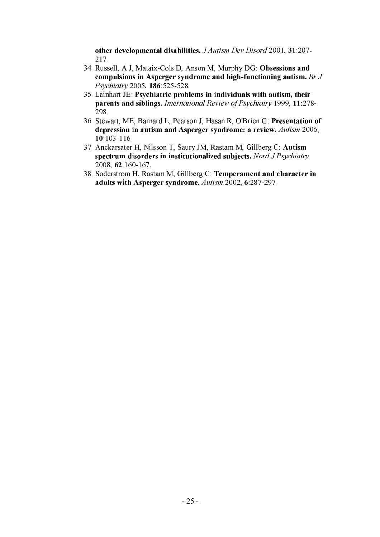other developmental disabilities. J Autism Dev Disord 2001, 31:207-217.

- 34. Russell, A J, Mataix-Cols D, Anson M, Murphy DG: Obsessions and compulsions in Asperger syndrome and high-functioning autism. Br  $J$ Psychiatry 2005, 186:525-528.
- $35$ . Lainhart JE: Psychiatric problems in individuals with autism, their parents and siblings. International Review of Psychiatry 1999, 11:278-298.
- 36. Stewart, ME, Barnard L, Pearson J, Hasan R, O'Brien G: Presentation of depression in autism and Asperger syndrome: a review. Autism 2006, 10:103-116
- 37. Anckarsater H, Nilsson T, Saury JM, Rastam M, Gillberg C: Autism spectrum disorders in institutionalized subjects. Nord J Psychiatry 2008, 62 160-167.
- 38. Soderstrom H, Rastam M, Gillberg C: Temperament and character in adults with Asperger syndrome. Autism 2002, 6:287-297.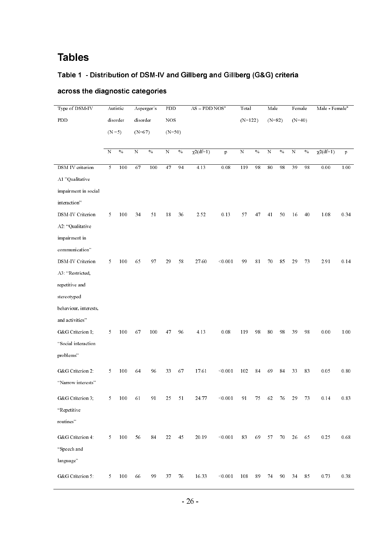## Tables

#### Table 1 - Distribution of DSM-IV and Gillberg and Gillberg (G&G) criteria

| Type of DSM-IV        | Autistic              |                         | Asperger's           |               | PDD                |               | $AS - PDD NOSa$ |               | Total          |               | Male           |      | Female         |      | Male - Female <sup>a</sup> |          |
|-----------------------|-----------------------|-------------------------|----------------------|---------------|--------------------|---------------|-----------------|---------------|----------------|---------------|----------------|------|----------------|------|----------------------------|----------|
| PDD                   | disorder<br>$(N = 5)$ |                         | disorder<br>$(N=67)$ |               | $_{\rm NOS}$       |               |                 |               | $(N=122)$      |               | $(N=82)$       |      | $(N=40)$       |      |                            |          |
|                       |                       |                         |                      |               | $(N=50)$           |               |                 |               |                |               |                |      |                |      |                            |          |
|                       |                       |                         |                      |               |                    |               |                 |               |                |               |                |      |                |      |                            |          |
|                       | N                     | $\sqrt[0]{\phantom{0}}$ | $\overline{N}$       | $\frac{0}{2}$ | $\overline{\rm N}$ | $\frac{0}{2}$ | $\chi^2(df=1)$  | $\mathbf{p}$  | $\overline{N}$ | $\frac{0}{6}$ | $\overline{N}$ | $\%$ | $\overline{N}$ | $\%$ | $\chi$ 2(df=1)             | p        |
| DSM IV criterion      | $5\overline{)}$       | 100                     | 67                   | 100           | 47                 | 94            | 4.13            | $0.08\,$      | 119            | 98            | $80\,$         | 98   | 39             | 98   | $0.00\,$                   | 1.00     |
| A1 "Qualitative       |                       |                         |                      |               |                    |               |                 |               |                |               |                |      |                |      |                            |          |
| impairment in social  |                       |                         |                      |               |                    |               |                 |               |                |               |                |      |                |      |                            |          |
| interaction"          |                       |                         |                      |               |                    |               |                 |               |                |               |                |      |                |      |                            |          |
| DSM-IV Criterion      | 5                     | 100                     | 34                   | 51            | 18                 | 36            | 2.52            | 0.13          | 57             | 47            | 41             | 50   | 16             | 40   | 1.08                       | 0.34     |
| A2 "Qualitative       |                       |                         |                      |               |                    |               |                 |               |                |               |                |      |                |      |                            |          |
| impairment in         |                       |                         |                      |               |                    |               |                 |               |                |               |                |      |                |      |                            |          |
| communication"        |                       |                         |                      |               |                    |               |                 |               |                |               |                |      |                |      |                            |          |
| DSM-IV Criterion      | 5                     | 100                     | 65                   | 97            | 29                 | 58            | 27.60           | < 0.001       | 99             | 81            | 70             | 85   | 29             | 73   | 2.91                       | 0.14     |
| A3 "Restricted,       |                       |                         |                      |               |                    |               |                 |               |                |               |                |      |                |      |                            |          |
| repetitive and        |                       |                         |                      |               |                    |               |                 |               |                |               |                |      |                |      |                            |          |
| stereotyped           |                       |                         |                      |               |                    |               |                 |               |                |               |                |      |                |      |                            |          |
| behaviour, interests, |                       |                         |                      |               |                    |               |                 |               |                |               |                |      |                |      |                            |          |
| and activities"       |                       |                         |                      |               |                    |               |                 |               |                |               |                |      |                |      |                            |          |
| G&G Criterion 1;      | 5                     | 100                     | 67                   | 100           | 47                 | 96            | 4.13            | $0.08\,$      | 119            | 98            | $80\,$         | 98   | 39             | 98   | $0.00\,$                   | 1.00     |
| "Social interaction   |                       |                         |                      |               |                    |               |                 |               |                |               |                |      |                |      |                            |          |
| problems"             |                       |                         |                      |               |                    |               |                 |               |                |               |                |      |                |      |                            |          |
| G&G Criterion 2:      | 5                     | 100                     | 64                   | 96            | 33                 | 67            | 17.61           | < 0.001       | 102            | 84            | 69             | 84   | 33             | 83   | 0.05                       | $0.80\,$ |
| "Narrow interests"    |                       |                         |                      |               |                    |               |                 |               |                |               |                |      |                |      |                            |          |
|                       |                       |                         |                      |               |                    |               |                 |               |                |               |                |      |                |      |                            |          |
| G&G Criterion 3,      | 5                     | 100                     | 61                   | 91            | 25                 | 51            | 24.77           | < 0.001       | 91             | 75            | 62             | 76   | 29             | 73   | 0.14                       | 0.83     |
| "Repetitive           |                       |                         |                      |               |                    |               |                 |               |                |               |                |      |                |      |                            |          |
| routines"             |                       |                         |                      |               |                    |               |                 |               |                |               |                |      |                |      |                            |          |
| G&G Criterion 4:      | 5                     | 100                     | 56                   | 84            | 22                 | 45            | 20.19           | $<$ 0.00 $\,$ | 83             | 69            | 57             | 70   | 26             | 65   | 0.25                       | $0.68\,$ |
| "Speech and           |                       |                         |                      |               |                    |               |                 |               |                |               |                |      |                |      |                            |          |
| language"             |                       |                         |                      |               |                    |               |                 |               |                |               |                |      |                |      |                            |          |
| G&G Criterion 5:      | 5                     | 100                     | 66                   | 99            | 37                 | 76            | 16.33           | < 0.001       | 108            | 89            | 74             | 90   | 34             | 85   | 0.73                       | $0.38\,$ |

#### across the diagnostic categories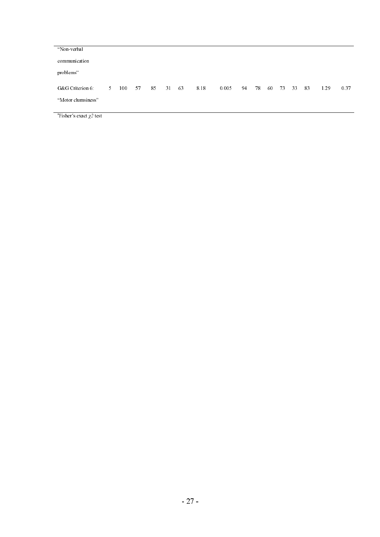| "Non-verbal        |    |     |    |    |    |    |      |       |    |    |    |      |    |    |      |      |
|--------------------|----|-----|----|----|----|----|------|-------|----|----|----|------|----|----|------|------|
| communication      |    |     |    |    |    |    |      |       |    |    |    |      |    |    |      |      |
| problems"          |    |     |    |    |    |    |      |       |    |    |    |      |    |    |      |      |
| G&G Criterion 6    | 5. | 100 | 57 | 85 | 31 | 63 | 8.18 | 0.005 | 94 | 78 | 60 | - 73 | 33 | 83 | 1.29 | 0.37 |
|                    |    |     |    |    |    |    |      |       |    |    |    |      |    |    |      |      |
| "Motor clumsiness" |    |     |    |    |    |    |      |       |    |    |    |      |    |    |      |      |
|                    |    |     |    |    |    |    |      |       |    |    |    |      |    |    |      |      |

 $\mathrm{a}^*$ Fisher's exact  $\chi$ 2 test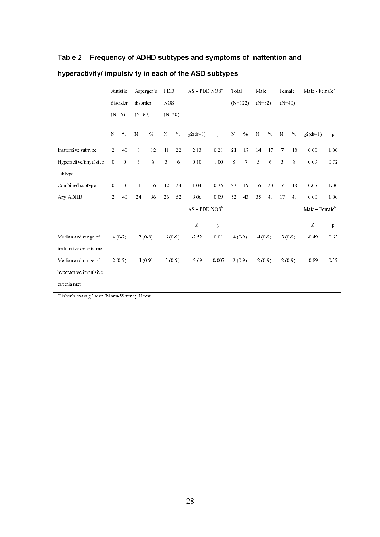#### Table 2  $\,$  - Frequency of ADHD subtypes and symptoms of inattention and

|                          | Autistic         |                  |           | Asperger's    | PDD       |            |                 | $AS - PDD NOSa$ |           |                | Male      |          | Female         |        | Male Female <sup>a</sup> |              |
|--------------------------|------------------|------------------|-----------|---------------|-----------|------------|-----------------|-----------------|-----------|----------------|-----------|----------|----------------|--------|--------------------------|--------------|
|                          |                  | disorder         |           | disorder      |           | NOS        |                 |                 |           | $(N=122)$      | $(N=82)$  |          | $(N=40)$       |        |                          |              |
|                          | $(N = 5)$        |                  | $(N=67)$  |               | $(N=50)$  |            |                 |                 |           |                |           |          |                |        |                          |              |
|                          | $\mathbf N$      | $\frac{0}{6}$    | ${\bf N}$ | $\frac{0}{6}$ | ${\bf N}$ | $\%$       | $\chi$ 2(df=1)  | $\mathbf{p}$    | ${\bf N}$ | $\%$           | ${\bf N}$ | $\%$     | ${\bf N}$      | $\%$   | $\sqrt{2(df=1)}$         | $\mathbf{p}$ |
|                          |                  |                  |           |               |           |            |                 |                 |           |                |           |          |                |        |                          |              |
| Inattentive subtype      | $\overline{2}$   | 40               | $8\,$     | 12            | 11        | 22         | 2.13            | 0.21            | 21        | 17             | 14        | 17       | $\overline{7}$ | 18     | 0.00                     | 1.00         |
| Hyperactive/impulsive    | $\mathbf{0}$     | $\boldsymbol{0}$ | 5         | 8             | 3         | $\sqrt{6}$ | 0.10            | 1.00            | 8         | $\overline{7}$ | 5         | 6        | 3              | 8      | 0.09                     | 0.72         |
| subtype                  |                  |                  |           |               |           |            |                 |                 |           |                |           |          |                |        |                          |              |
| Combined subtype         | $\boldsymbol{0}$ | $\boldsymbol{0}$ | 11        | 16            | 12        | 24         | 1.04            | 0.35            | 23        | 19             | 16        | 20       | 7              | 18     | 0.07                     | 1.00         |
| Any ADHD                 | 2                | 40               | 24        | 36            | 26        | 52         | 306             | 0.09            | 52        | 43             | 35        | 43       | 17             | 43     | 0.00                     | 1.00         |
|                          |                  |                  |           |               |           |            | $AS - PDD NOSb$ |                 |           |                |           |          |                |        | $Male - Femaleb$         |              |
|                          |                  |                  |           |               |           |            | $\overline{z}$  | $\mathbf{p}$    |           |                |           |          |                |        | Z                        | $\mathbf{p}$ |
| Median and range of      |                  | $4(0-7)$         |           | $3(0-8)$      |           | 6(0.9)     | 2.52            | 0.01            |           | 4(0.9)         |           | $4(0-9)$ |                | 3(0.9) | $-0.49$                  | 0.63         |
| inattentive criteria met |                  |                  |           |               |           |            |                 |                 |           |                |           |          |                |        |                          |              |
| Median and range of      | $2(0-7)$         |                  | $1(0-9)$  |               | 3(0.9)    |            | -2.69           | 0.007           | 2(0.9)    |                | $2(0-9)$  |          | $2(0-9)$       |        | 0.89                     | 0.37         |
| hyperactive/impulsive    |                  |                  |           |               |           |            |                 |                 |           |                |           |          |                |        |                          |              |
| criteria met             |                  |                  |           |               |           |            |                 |                 |           |                |           |          |                |        |                          |              |

#### hyperactivity/ impulsivity in each of the ASD subtypes

 $\mathrm{aFisher}$ 's exact  $\chi2$  test;  $\mathrm{bMann-Whitney}$  U test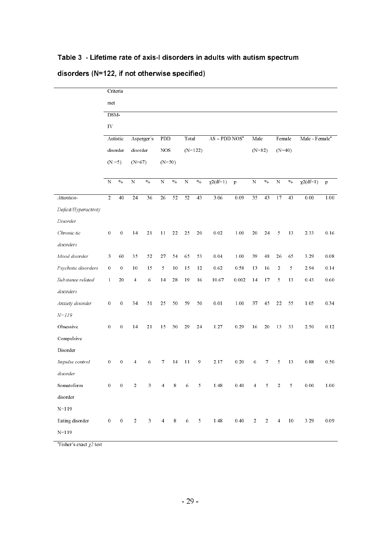|                       |                                   | Criteria         |                 |              |                |                           |                 |                           |                 |              |                |                           |                  |                |                            |          |
|-----------------------|-----------------------------------|------------------|-----------------|--------------|----------------|---------------------------|-----------------|---------------------------|-----------------|--------------|----------------|---------------------------|------------------|----------------|----------------------------|----------|
|                       | met                               |                  |                 |              |                |                           |                 |                           |                 |              |                |                           |                  |                |                            |          |
|                       | $DSM-$                            |                  |                 |              |                |                           |                 |                           |                 |              |                |                           |                  |                |                            |          |
|                       | IV                                |                  |                 |              |                |                           |                 |                           |                 |              |                |                           |                  |                |                            |          |
|                       | Autistic<br>disorder<br>$(N = 5)$ |                  |                 | Asperger's   | PDD            |                           | Total           |                           | $AS - PDD NOSa$ |              | Male           |                           | Female           |                | Male - Female <sup>a</sup> |          |
|                       |                                   |                  | disorder        |              | <b>NOS</b>     |                           | $(N=122)$       |                           |                 |              | $(N=82)$       |                           | $(N=40)$         |                |                            |          |
|                       |                                   |                  | $(N=67)$        |              | $(N=50)$       |                           |                 |                           |                 |              |                |                           |                  |                |                            |          |
|                       |                                   |                  |                 |              |                |                           |                 |                           |                 |              |                |                           |                  |                |                            |          |
|                       | $\mathbf N$                       | $\%$             | ${\bf N}$       | $\%$         | ${\bf N}$      | $\sqrt[0]{\phantom{0}}_0$ | ${\bf N}$       | $\sqrt[0]{\phantom{0}}_0$ | $\chi^2(df=1)$  | $\mathbf{p}$ | ${\bf N}$      | $\sqrt[0]{\phantom{0}}_0$ | ${\bf N}$        | $\%$           | $\overline{\chi^2(df=1)}$  | p        |
| Attention-            | $\overline{2}$                    | 40               | $\overline{24}$ | 36           | 26             | 52                        | $\overline{52}$ | $\overline{43}$           | 3.06            | 0.09         | 35             | 43                        | 17               | 43             | 0.00                       | 1.00     |
| Deficit/Hyperactivity |                                   |                  |                 |              |                |                           |                 |                           |                 |              |                |                           |                  |                |                            |          |
| Disorder              |                                   |                  |                 |              |                |                           |                 |                           |                 |              |                |                           |                  |                |                            |          |
| Chronic tic           | $\boldsymbol{0}$                  | $\boldsymbol{0}$ | 14              | 21           | 11             | 22                        | 25              | 20                        | $0\ 02$         | 1.00         | 20             | 24                        | 5                | 13             | 233                        | 0.16     |
| disorders             |                                   |                  |                 |              |                |                           |                 |                           |                 |              |                |                           |                  |                |                            |          |
| Mood disorder         | 3                                 | 60               | 35              | 52           | 27             | 54                        | 65              | 53                        | 0.04            | 1.00         | 39             | 48                        | 26               | 65             | 3.29                       | $0.08\,$ |
| Psychotic disorders   | $\bf{0}$                          | $\boldsymbol{0}$ | 10              | 15           | 5              | 10                        | 15              | 12                        | 0.62            | 0.58         | 13             | 16                        | $\boldsymbol{2}$ | 5              | 2.94                       | 0.14     |
| Substance related     | $\mathbf{1}$                      | 20               | $\overline{4}$  | 6            | 14             | 28                        | 19              | 16                        | 10.67           | 0.002        | 14             | 17                        | 5                | 13             | 0.43                       | 0.60     |
| disorders             |                                   |                  |                 |              |                |                           |                 |                           |                 |              |                |                           |                  |                |                            |          |
| Anxiety disorder      | $\boldsymbol{0}$                  | $\boldsymbol{0}$ | 34              | 51           | 25             | 50                        | 59              | 50                        | $0.01\,$        | 1.00         | 37             | 45                        | 22               | 55             | 1.05                       | 0.34     |
| $N = 119$             |                                   |                  |                 |              |                |                           |                 |                           |                 |              |                |                           |                  |                |                            |          |
| Obsessive             | $\bf{0}$                          | $\boldsymbol{0}$ | 14              | 21           | 15             | 30                        | 29              | 24                        | 1.27            | 0.29         | 16             | 20                        | 13               | 33             | 2.50                       | 0.12     |
| Compulsive            |                                   |                  |                 |              |                |                           |                 |                           |                 |              |                |                           |                  |                |                            |          |
| Disorder              |                                   |                  |                 |              |                |                           |                 |                           |                 |              |                |                           |                  |                |                            |          |
| Impulse control       | $\bf{0}$                          | $\bf{0}$         | 4               | 6            | 7              | 14                        | 11              | 9                         | 2.17            | 0.20         | 6              | 7                         | 5                | 13             | 0.88                       | 0.50     |
| $disorder$            |                                   |                  |                 |              |                |                           |                 |                           |                 |              |                |                           |                  |                |                            |          |
| Somatoform            | $\boldsymbol{0}$                  | $\boldsymbol{0}$ | $\overline{2}$  | $\mathbf{3}$ | $\overline{4}$ | 8                         | 6               | 5 <sub>1</sub>            | 1.48            | 0.40         | $\overline{4}$ | $\overline{5}$            | $\overline{2}$   | 5 <sub>5</sub> | $0\ 00$                    | 1.00     |
| disorder              |                                   |                  |                 |              |                |                           |                 |                           |                 |              |                |                           |                  |                |                            |          |
| $N = 119$             |                                   |                  |                 |              |                |                           |                 |                           |                 |              |                |                           |                  |                |                            |          |
| Eating disorder       | $\boldsymbol{0}$                  | $\bf{0}$         | $\overline{a}$  | $\mathbf{3}$ | $\overline{4}$ | $8\phantom{.}$            | $\sqrt{6}$      | $\mathfrak{h}$            | 1.48            | 0.40         | $\overline{2}$ | 2                         | $\overline{4}$   | $10\,$         | 3.29                       | 0.09     |
| $N=119$               |                                   |                  |                 |              |                |                           |                 |                           |                 |              |                |                           |                  |                |                            |          |

### Table 3 -Lifetime rate of axis-I disorders in adults with autism spectrum

#### disorders (N=122, if not otherwise specified)

 $\mathrm{aFisher}$ 's exact  $\chi2$  test